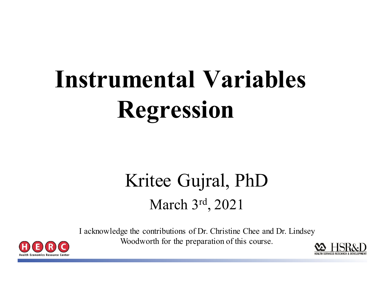# **Instrumental Variables Regression**

#### Kritee Gujral, PhD March 3rd, 2021

I acknowledge the contributions of Dr. Christine Chee and Dr. Lindsey Woodworth for the preparation of this course.



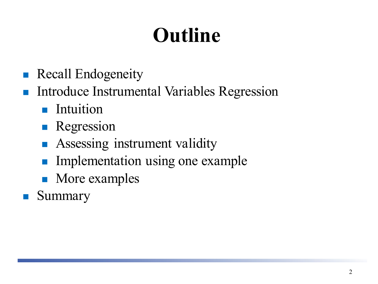### **Outline**

- **Recall Endogeneity**
- Introduce Instrumental Variables Regression
	- **Intuition**
	- **Regression**
	- **Assessing instrument validity**
	- **Implementation using one example**
	- More examples
- Summary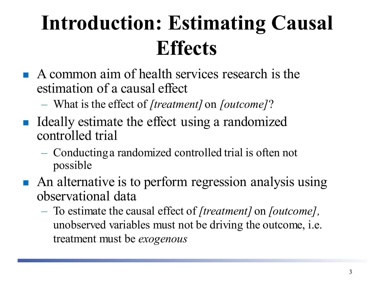#### **Introduction: Estimating Causal Effects**

- A common aim of health services research is the estimation of a causal effect
	- What is the effect of *[treatment]* on *[outcome]*?
- Ideally estimate the effect using a randomized controlled trial
	- Conducting a randomized controlled trial is often not possible
- An alternative is to perform regression analysis using observational data
	- To estimate the causal effect of *[treatment]* on *[outcome],*  unobserved variables must not be driving the outcome, i.e. treatment must be *exogenous*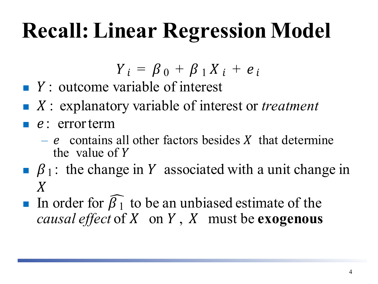### **Recall: Linear Regression Model**

$$
Y_i = \beta_0 + \beta_1 X_i + e_i
$$

- $\blacksquare$  Y : outcome variable of interest
- : explanatory variable of interest or *treatment*
- $\blacksquare$  e: errorterm
	- $-e$  contains all other factors besides X that determine the value of  $Y$
- $\beta_1$ : the change in Y associated with a unit change in  $\overline{X}$
- In order for  $\beta_1$  to be an unbiased estimate of the *causal effect* of  $X$  on  $Y$ ,  $X$  must be **exogenous**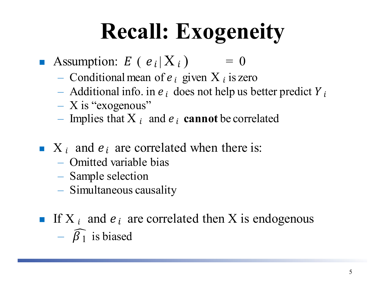## **Recall: Exogeneity**

- Assumption:  $E(e_i|X_i) = 0$ 
	- Conditional mean of  $e_i$  given  $X_i$  is zero
	- Additional info. in  $e_i$  does not help us better predict  $Y_i$
	- $X$  is "exogenous"
	- Implies that  $X_i$  and  $e_i$  **cannot** be correlated
- $\blacksquare$  X<sub>i</sub> and  $e_i$  are correlated when there is:
	- Omitted variable bias
	- Sample selection
	- Simultaneous causality
- If X  $_i$  and  $e_i$  are correlated then X is endogenous  $\overline{\beta}_1$  is biased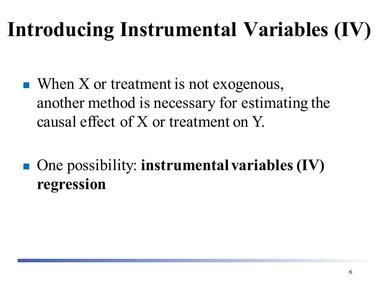#### **Introducing Instrumental Variables (IV)**

- $\blacksquare$  When X or treatment is not exogenous, another method is necessary for estimating the causal effect of X or treatment on Y.
- One possibility: **instrumental variables (IV) regression**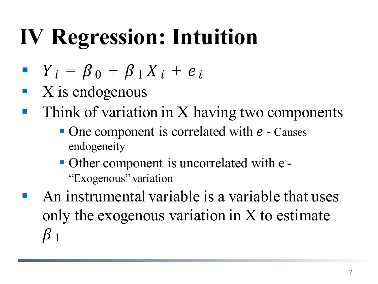- $Y_i = \beta_0 + \beta_1 X_i + e_i$
- X is endogenous
- $\blacksquare$  Think of variation in X having two components
	- $\blacksquare$  One component is correlated with  $e$  Causes endogeneity
	- Other component is uncorrelated with e "Exogenous" variation
- An instrumental variable is a variable that uses only the exogenous variation in X to estimate  $\beta_1$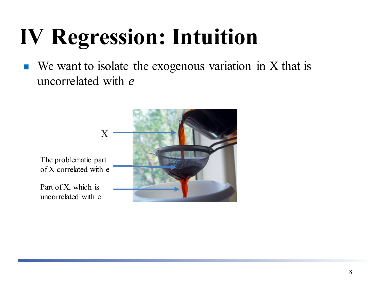We want to isolate the exogenous variation in X that is uncorrelated with *e* 

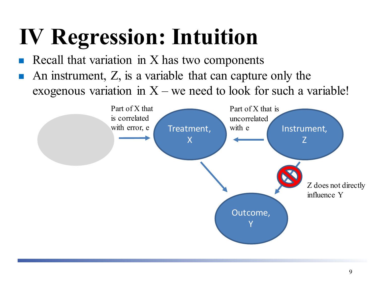- Recall that variation in X has two components
- An instrument, Z, is a variable that can capture only the exogenous variation in  $X$  – we need to look for such a variable!

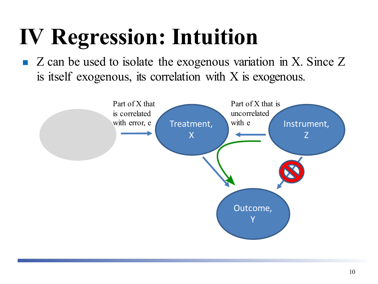$\blacksquare$  Z can be used to isolate the exogenous variation in X. Since Z is itself exogenous, its correlation with X is exogenous.

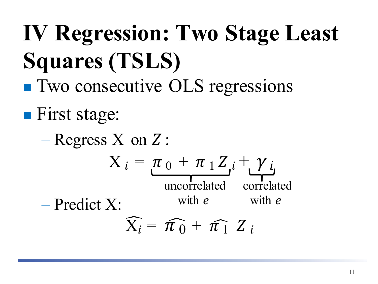**IV Regression: Two Stage Least Squares (TSLS) Two consecutive OLS regressions First stage:** 

 $-$  Regress X on Z:  $X_i = \pi_0 + \pi_1 Z_i + \gamma_i$ – Predict X:  $\widehat{X}_i = \widehat{\pi}_0 + \widehat{\pi}_1 Z_i$ uncorrelated with *e* correlated with *e*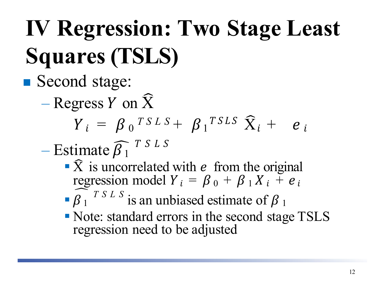# **IV Regression: Two Stage Least Squares (TSLS)**

#### ■ Second stage:

 $-$  Regress Y on  $\hat{X}$ 

$$
Y_i = \beta_0^{TSLS} + \beta_1^{TSLS} \hat{X}_i + e_i
$$

 $-$  Estimate  $\beta_1$  $T S L S$ 

- $\widehat{X}$  is uncorrelated with *e* from the original regression model  $Y_i = \beta_0 + \beta_1 X_i + e_i$
- $\int \int \int \int$  *TSLS* is an unbiased estimate of  $\beta_1$
- Note: standard errors in the second stage TSLS regression need to be adjusted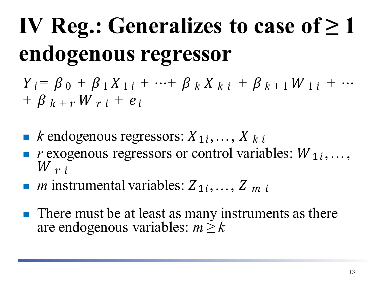# **IV Reg.: Generalizes to case of**  $\geq 1$ **endogenous regressor**

 $Y_i = \beta_0 + \beta_1 X_{1i} + \cdots + \beta_k X_{ki} + \beta_{k+1} W_{1i} + \cdots$  $+$   $\beta$   $_{k}$  +  $_{r}$  W  $_{r}$   $_{i}$  +  $e$   $_{i}$ 

- **F** *k* endogenous regressors:  $X_1, \ldots, X_k$
- *r* exogenous regressors or control variables:  $W_1$ , ...,  $W_{r,i}$
- *m* instrumental variables:  $Z_1$ , ...,  $Z_m$
- $\blacksquare$  There must be at least as many instruments as there are endogenous variables:  $m \geq k$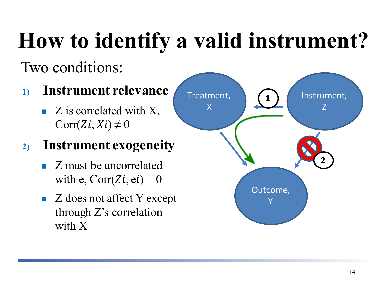## **How to identify a valid instrument?**

#### Two conditions:

#### **1) Instrument relevance**

 $\blacksquare$  Z is correlated with X,  $Corr(Zi, Xi) \neq 0$ 

#### **2) Instrument exogeneity**

- Z must be uncorrelated with e,  $Corr(Zi, ei) = 0$
- $\blacksquare$  Z does not affect Y except through Z's correlation with X

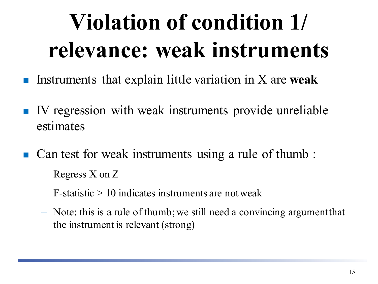## **Violation of condition 1/ relevance: weak instruments**

- Instruments that explain little variation in X are **weak**
- IV regression with weak instruments provide unreliable estimates
- Can test for weak instruments using a rule of thumb:
	- Regress X on Z
	- $-$  F-statistic  $> 10$  indicates instruments are not weak
	- Note: this is a rule of thumb; we still need a convincing argumentthat the instrument is relevant (strong)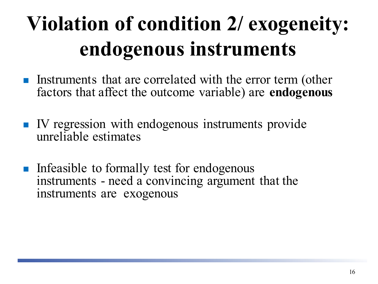### **Violation of condition 2/ exogeneity: endogenous instruments**

- **Instruments that are correlated with the error term (other** factors that affect the outcome variable) are **endogenous**
- IV regression with endogenous instruments provide unreliable estimates
- **Infeasible to formally test for endogenous** instruments - need a convincing argument that the instruments are exogenous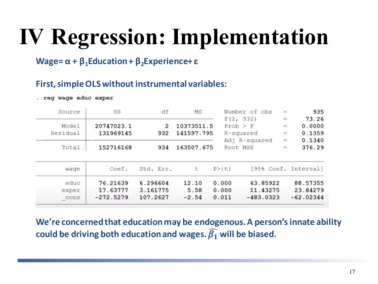### **IV Regression: Implementation**

#### **Wage= α + β1Education + β2Experience+ ε**

#### **First, simple OLS without instrumental variables:**

. reg wage educ exper

| Source   | SS          | df        | MS         | Number of obs        | $\equiv$ | 935                  |
|----------|-------------|-----------|------------|----------------------|----------|----------------------|
|          |             |           |            | F(2, 932)            | $=$      | 73.26                |
| Model    | 20747023.1  | 2         | 10373511.5 | $Prob$ > $F$         | $\equiv$ | 0.0000               |
| Residual | 131969145   | 932       | 141597.795 | R-squared            | $\equiv$ | 0.1359               |
|          |             |           |            | Adj R-squared        | $\equiv$ | 0.1340               |
| Total    | 152716168   | 934       | 163507.675 | Root MSE             | $\equiv$ | 376.29               |
| wage     | Coef.       | Std. Err. | t          | P >  t               |          | [95% Conf. Interval] |
| educ     | 76.21639    | 6.296604  | 12.10      | 63.85922<br>0.000    |          | 88.57355             |
| exper    | 17.63777    | 3.161775  | 5.58       | 0.000<br>11.43275    |          | 23.84279             |
| cons     | $-272.5279$ | 107.2627  | $-2.54$    | 0.011<br>$-483.0323$ |          | $-62.02344$          |

**We're concerned that education may be endogenous. A person's innate ability**  could be driving both education and wages.  $\widehat{\beta_1}$  will be biased.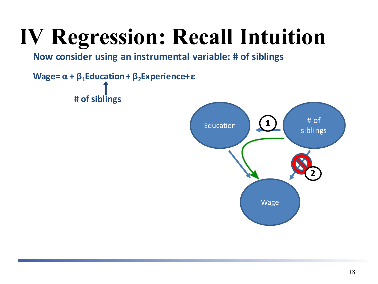### **IV Regression: Recall Intuition**

**Now consider using an instrumental variable: # of siblings**

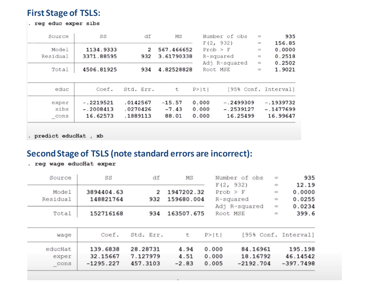#### **First Stage of TSLS:**

. reg educ exper sibs

| Source   | SS          | df        | MS         | Number of obs        | $=$                     | 935                  |
|----------|-------------|-----------|------------|----------------------|-------------------------|----------------------|
|          |             |           |            | F(2, 932)            | $\qquad \qquad =\qquad$ | 156.85               |
| Model    | 1134.9333   | 2         | 567.466652 | $Prob$ > $F$         | $\equiv$                | 0.0000               |
| Residual | 3371.88595  | 932       | 3.61790338 | R-squared            | $=$                     | 0.2518               |
|          |             |           |            | Adj R-squared        | $\equiv$                | 0.2502               |
| Total    | 4506.81925  | 934       | 4.82528828 | Root MSE             | $=$                     | 1.9021               |
| educ     | Coef.       | Std. Err. | t          | P >  t               |                         | [95% Conf. Interval] |
| exper    | $-.2219521$ | .0142567  | $-15.57$   | 0.000<br>$-.2499309$ |                         | $-.1939732$          |
|          |             |           |            |                      |                         |                      |
| sibs     | $-.2008413$ | .0270426  | $-7.43$    | 0.000<br>$-.2539127$ |                         | $-.1477699$          |

. predict educHat , xb

#### **Second Stage of TSLS (note standard errors are incorrect):**

. reg wage educHat exper

| 935                  | $=$      | Number of obs |        | MS         | df             | SS         | Source   |
|----------------------|----------|---------------|--------|------------|----------------|------------|----------|
| 12.19                | $\equiv$ | F(2, 932)     |        |            |                |            |          |
| 0.0000               | $=$      | Prob > F      |        | 1947202.32 | $\overline{2}$ | 3894404.63 | Model    |
| 0.0255               | $\equiv$ | R-squared     |        | 159680.004 | 932            | 148821764  | Residual |
| 0.0234               | $\equiv$ | Adj R-squared |        |            |                |            |          |
| 399.6                | $=$      | Root MSE      |        | 163507.675 | 934            | 152716168  | Total    |
| [95% Conf. Interval] |          |               | P >  t | t          | Std. Err.      | Coef.      | wage     |
|                      |          |               |        |            |                |            |          |
| 195.198              |          | 84.16961      | 0.000  | 4.94       | 28.28731       | 139.6838   | educHat  |
| 46.14542             |          | 18.16792      | 0.000  | 4.51       | 7.127979       | 32.15667   | exper    |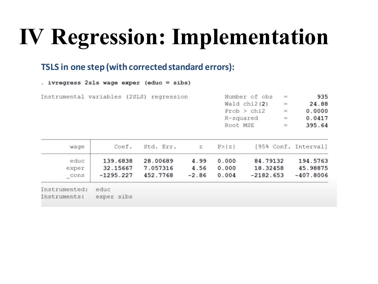### **IV Regression: Implementation**

#### **TSLS in one step (with corrected standard errors):**

. ivregress  $2sls$  wage exper (educ = sibs)

Instrumental variables (2SLS) regression

| Number of obs  | $=$ | 935    |
|----------------|-----|--------|
| Wald $chi2(2)$ | $=$ | 24.88  |
| Prob > chi2    | $=$ | 0.0000 |
| R-squared      | $=$ | 0.0417 |
| Root MSE       | $=$ | 395.64 |

| wage                          | Coef.                               | Std. Err.                        | $\mathbb{Z}$            | P >  Z                  | [95% Conf. Interval]                |                                     |
|-------------------------------|-------------------------------------|----------------------------------|-------------------------|-------------------------|-------------------------------------|-------------------------------------|
| educ<br>exper<br>cons         | 139.6838<br>32.15667<br>$-1295.227$ | 28.00689<br>7.057316<br>452.7768 | 4.99<br>4.56<br>$-2.86$ | 0.000<br>0.000<br>0.004 | 84.79132<br>18.32458<br>$-2182.653$ | 194.5763<br>45.98875<br>$-407.8006$ |
| Instrumented:<br>Instruments: | educ<br>exper sibs                  |                                  |                         |                         |                                     |                                     |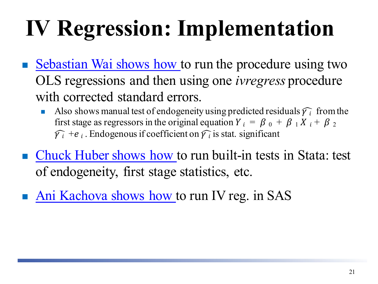# **IV Regression: Implementation**

- [Sebastian Wai shows how t](https://www.youtube.com/watch?v=OzrNSlTg1dY)o run the procedure using two OLS regressions and then using one *ivregress* procedure with corrected standard errors.
	- Also shows manual test of endogeneity using predicted residuals  $\widehat{\gamma}_i$  from the first stage as regressors in the original equation  $Y_i = \beta_0 + \beta_1 X_i + \beta_2$  $\widehat{\gamma_i}$  +  $e_i$ . Endogenous if coefficient on  $\widehat{\gamma_i}$  is stat. significant
- [Chuck Huber shows how t](https://www.youtube.com/watch?v=lbnswRJ1qV0)o run built-in tests in Stata: test of endogeneity, first stage statistics, etc.
- [Ani Kachova](https://www.youtube.com/watch?v=VWuv0pGTMBk) shows how to run IV reg. in SAS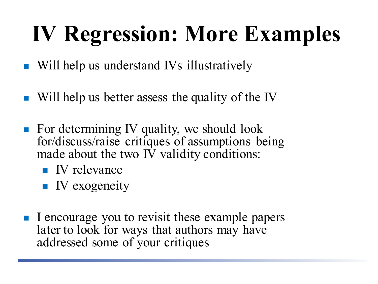## **IV Regression: More Examples**

- Will help us understand IVs illustratively
- Will help us better assess the quality of the IV
- $\blacksquare$  For determining IV quality, we should look for/discuss/raise critiques of assumptions being made about the two IV validity conditions:
	- $\blacksquare$  IV relevance
	- $\blacksquare$  IV exogeneity
- I encourage you to revisit these example papers later to look for ways that authors may have addressed some of your critiques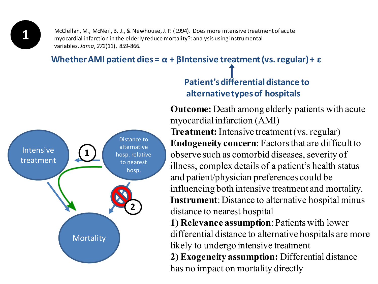**1**

McClellan, M., McNeil, B. J., & Newhouse, J. P. (1994). Does more intensive treatment of acute myocardial infarction in the elderly reduce mortality?: analysis using instrumental variables.*Jama*, *272*(11), 859-866.

#### **Whether AMI patient dies = α + βIntensive treatment (vs. regular) + ε**

![](_page_22_Picture_3.jpeg)

#### **Patient's differential distance to alternative types of hospitals**

**Outcome:** Death among elderly patients with acute myocardial infarction (AMI) **Treatment:** Intensive treatment (vs. regular) **Endogeneity concern**: Factors that are difficult to observe such as comorbid diseases, severity of illness, complex details of a patient's health status and patient/physician preferences could be influencing both intensive treatment and mortality. **Instrument**: Distance to alternative hospital minus distance to nearest hospital

**1) Relevance assumption**: Patients with lower differential distance to alternative hospitals are more likely to undergo intensive treatment **2) Exogeneity assumption:** Differential distance has no impact on mortality directly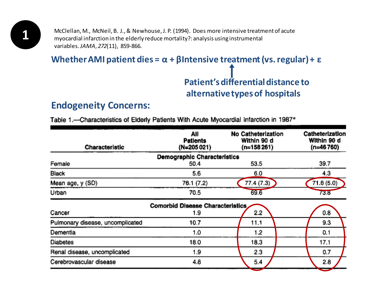**1** McClellan, M., McNeil, B. J., & Newhouse, J. P. (1994). Does more intensive treatment of acute<br>myocardial infarction in the elderly reduce mortality?: analysis using instrumental myocardial infarction in the elderly reduce mortality?: analysis using instrumental variables.*JAMA*, *272*(11), 859-866.

**Whether AMI patient dies = α + βIntensive treatment (vs. regular) + ε**

**Patient's differential distance to alternative types of hospitals**

#### **Endogeneity Concerns:**

Table 1.- Characteristics of Elderly Patients With Acute Myocardial Infarction in 1987\*

| Characteristic                   | All<br>Patients<br>(N=205021)           | <b>No Catheterization</b><br>Within 90 d<br>$(n=158261)$ | Catheterization<br>Within 90 d<br>$(n=46760)$ |  |
|----------------------------------|-----------------------------------------|----------------------------------------------------------|-----------------------------------------------|--|
|                                  | <b>Demographic Characteristics</b>      |                                                          |                                               |  |
| Female                           | 50.4                                    | 53.5                                                     | 39.7                                          |  |
| Black                            | 5.6                                     | 6.0                                                      | 4.3                                           |  |
| Mean age, y (SD)                 | 76.1 (7.2)                              | 77.4(7.3)                                                | 71.6 (5.0)                                    |  |
| Urban                            | 70.5                                    | 69.6                                                     | 73.8                                          |  |
|                                  | <b>Comorbid Disease Characteristics</b> |                                                          |                                               |  |
| Cancer                           | 1.9                                     | 2.2                                                      | 0.8                                           |  |
| Pulmonary disease, uncomplicated | 10.7                                    | 11.1                                                     | 9.3                                           |  |
| Dementia                         | 1.0                                     | 1.2                                                      | 0.1                                           |  |
| <b>Diabetes</b>                  | 18.0                                    | 18.3                                                     | 17,1                                          |  |
| Renal disease, uncomplicated     | 1.9                                     | 2.3                                                      | 0.7                                           |  |
| Cerebrovascular disease          | 4.8                                     | 5.4                                                      | 2.8                                           |  |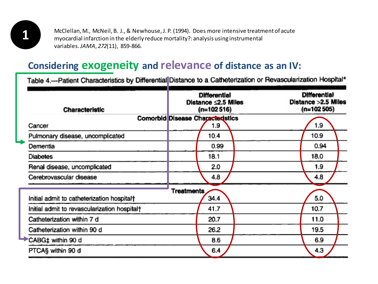**1** McClellan, M., McNeil, B. J., & Newhouse, J. P. (1994). Does more intensive treatment of acute myocardial infarction in the elderly reduce mortality?: analysis using instrumental variables.*JAMA*, *272*(11), 859-866.

#### **Considering exogeneity and relevance of distance as an IV:**

Table 4.-Patient Characteristics by Differential Distance to a Catheterization or Revascularization Hospital\*

| Characteristic                               |            | <b>Differential</b><br>Distance $\leq$ 2.5 Miles<br>(n=102516)<br><b>Comorbid Disease Characteristics</b><br>1.9 |  |  | <b>Differential</b><br>Distance > 2.5 Miles<br>$(n=102505)$<br>1.9 |  |  |
|----------------------------------------------|------------|------------------------------------------------------------------------------------------------------------------|--|--|--------------------------------------------------------------------|--|--|
| Cancer                                       |            |                                                                                                                  |  |  |                                                                    |  |  |
| Pulmonary disease, uncomplicated             |            | 10.4                                                                                                             |  |  | 10.9                                                               |  |  |
| Dementia                                     |            | 0.99                                                                                                             |  |  | 0.94                                                               |  |  |
| <b>Diabetes</b>                              |            | 18.1                                                                                                             |  |  | 18.0                                                               |  |  |
| Renal disease, uncomplicated                 |            | 2.0                                                                                                              |  |  | 1.9                                                                |  |  |
| Cerebrovascular disease                      |            | 4.8                                                                                                              |  |  | 4.8                                                                |  |  |
| Initial admit to catheterization hospital†   | Treatments | 34.4                                                                                                             |  |  | 5.0                                                                |  |  |
| Initial admit to revascularization hospital† |            | 41.7                                                                                                             |  |  | 10.7                                                               |  |  |
| Catheterization within 7 d                   |            | 20.7                                                                                                             |  |  | 11.0                                                               |  |  |
| Catheterization within 90 d                  |            | 26.2                                                                                                             |  |  | 19.5                                                               |  |  |
| CABG‡ within 90 d                            |            | 8.6                                                                                                              |  |  | 6.9                                                                |  |  |
| PTCAS within 90 d                            |            | 6.4                                                                                                              |  |  | 4.3                                                                |  |  |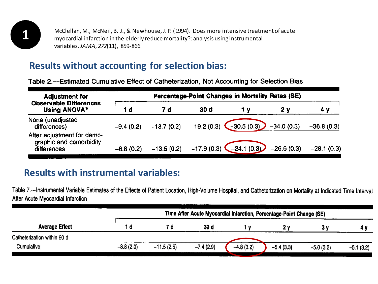![](_page_25_Picture_0.jpeg)

**1** McClellan, M., McNeil, B. J., & Newhouse, J. P. (1994). Does more intensive treatment of acute myocardial infarction in the elderly reduce mortality?: analysis using instrumental variables.*JAMA*, *272*(11), 859-866.

#### **Results without accounting for selection bias:**

Table 2.—Estimated Cumulative Effect of Catheterization, Not Accounting for Selection Bias

| <b>Adjustment for</b>                                                | Percentage-Point Changes in Mortality Rates (SE) |              |              |                                                     |              |              |  |  |  |
|----------------------------------------------------------------------|--------------------------------------------------|--------------|--------------|-----------------------------------------------------|--------------|--------------|--|--|--|
| <b>Observable Differences</b><br>Using ANOVA*                        | 1 d                                              | 7 d          | 30 d         | 1 V                                                 | 2 y          |              |  |  |  |
| None (unadjusted<br>differences)                                     | $-9.4(0.2)$                                      | $-18.7(0.2)$ | $-19.2(0.3)$ | $-30.5(0.3)$                                        | $-34.0(0.3)$ | $-36.8(0.3)$ |  |  |  |
| After adjustment for demo-<br>graphic and comorbidity<br>differences | $-6.8(0.2)$                                      | $-13.5(0.2)$ |              | $-17.9(0.3)$ $-24.1(0.3)$ $-26.6(0.3)$ $-28.1(0.3)$ |              |              |  |  |  |

#### **Results with instrumental variables:**

Table 7.-Instrumental Variable Estimates of the Effects of Patient Location, High-Volume Hospital, and Catheterization on Mortality at Indicated Time Intervals After Acute Myocardial Infarction

|                             |             | Time After Acute Myocardial Infarction, Percentage-Point Change (SE) |             |             |             |             |             |  |  |
|-----------------------------|-------------|----------------------------------------------------------------------|-------------|-------------|-------------|-------------|-------------|--|--|
| <b>Average Effect</b>       | l d         |                                                                      | 30 d        |             |             |             |             |  |  |
| Catheterization within 90 d |             |                                                                      |             |             |             |             |             |  |  |
| Cumulative                  | $-8.8(2.0)$ | $-11.5(2.5)$                                                         | $-7.4(2.9)$ | $-4.8(3.2)$ | $-5.4(3.3)$ | $-5.0(3.2)$ | $-5.1(3.2)$ |  |  |
|                             |             |                                                                      |             |             |             |             |             |  |  |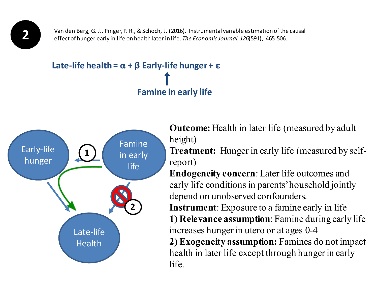Van den Berg, G. J., Pinger, P. R., & Schoch, J. (2016). Instrumental variable estimation of the causal effect of hunger early in life on health later in life. *The Economic Journal*, *126*(591), 465-506.

#### **Late-life health = α + β Early-life hunger + ε Famine in early life**

![](_page_26_Figure_2.jpeg)

**Outcome:** Health in later life (measured by adult height)

**Treatment:** Hunger in early life (measured by selfreport)

**Endogeneity concern**: Later life outcomes and early life conditions in parents' household jointly depend on unobserved confounders.

**Instrument**: Exposure to a famine early in life **1) Relevance assumption**: Famine during early life increases hunger in utero or at ages 0-4 **2) Exogeneity assumption:** Famines do not impact health in later life except through hunger in early life.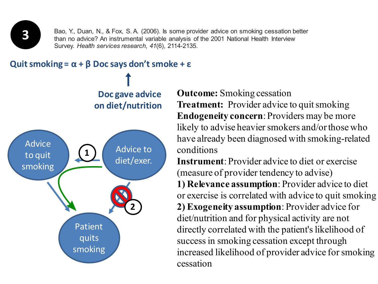![](_page_27_Picture_0.jpeg)

Bao, Y., Duan, N., & Fox, S. A. (2006). Is some provider advice on smoking cessation better than no advice? An instrumental variable analysis of the 2001 National Health Interview Survey. *Health services research*, *41*(6), 2114-2135.

![](_page_27_Figure_2.jpeg)

**Outcome:** Smoking cessation **Treatment:** Provider advice to quit smoking **Endogeneity concern**: Providers may be more likely to advise heavier smokers and/or those who have already been diagnosed with smoking-related conditions

**Instrument**: Provider advice to diet or exercise (measure of provider tendency to advise) **1) Relevance assumption**: Provider advice to diet or exercise is correlated with advice to quit smoking **2) Exogeneity assumption**: Provider advice for diet/nutrition and for physical activity are not directly correlated with the patient's likelihood of success in smoking cessation except through increased likelihood of provider advice for smoking cessation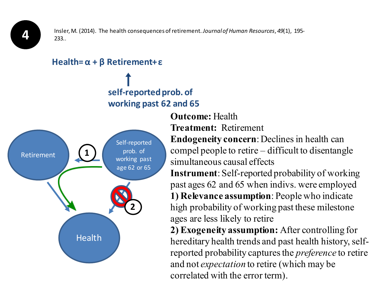**4**

Insler, M. (2014). The health consequences of retirement.*Journal of Human Resources*, *49*(1), 195- 233..

#### **Health= α + β Retirement+ ε**

#### **self-reported prob. of working past 62 and 65**

![](_page_28_Figure_4.jpeg)

#### **Outcome:** Health **Treatment:** Retirement

**Endogeneity concern**: Declines in health can compel people to retire – difficult to disentangle simultaneous causal effects

**Instrument**: Self-reported probability of working past ages 62 and 65 when indivs. were employed **1) Relevance assumption**: People who indicate high probability of working past these milestone ages are less likely to retire

**2) Exogeneity assumption:** After controlling for hereditary health trends and past health history, selfreported probability captures the *preference* to retire and not *expectation* to retire (which may be correlated with the error term).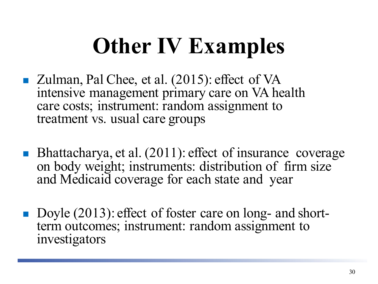## **Other IV Examples**

- Zulman, Pal Chee, et al. (2015): effect of VA intensive management primary care on VA health care costs; instrument: random assignment to treatment vs. usual care groups
- Bhattacharya, et al. (2011): effect of insurance coverage on body weight; instruments: distribution of firm size and Medicaid coverage for each state and year
- Doyle (2013): effect of foster care on long- and short-<br>term outcomes; instrument: random assignment to investigators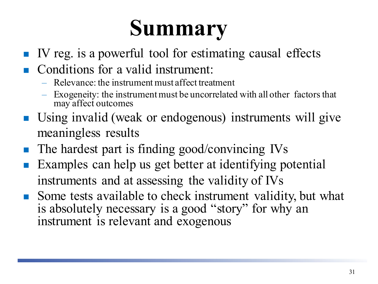### **Summary**

- $\blacksquare$  IV reg. is a powerful tool for estimating causal effects
- Conditions for a valid instrument:
	- Relevance: the instrument must affect treatment
	- Exogeneity: the instrument must be uncorrelated with all other factors that may affect outcomes
- Using invalid (weak or endogenous) instruments will give meaningless results
- The hardest part is finding good/convincing IVs
- Examples can help us get better at identifying potential instruments and at assessing the validity of IVs
- Some tests available to check instrument validity, but what is absolutely necessary is a good "story" for why an instrument is relevant and exogenous